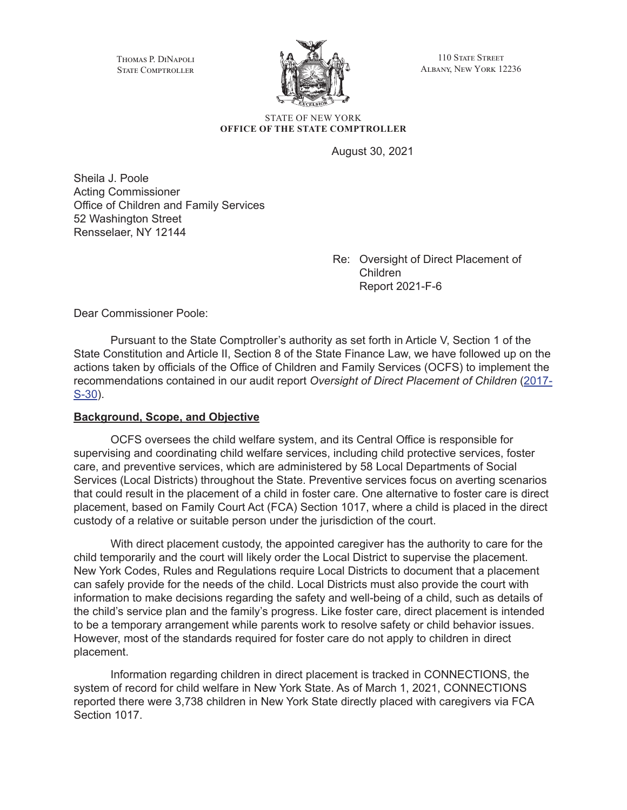Thomas P. DiNapoli STATE COMPTROLLER



110 STATE STREET Albany, New York 12236

STATE OF NEW YORK **OFFICE OF THE STATE COMPTROLLER**

August 30, 2021

Sheila J. Poole Acting Commissioner Office of Children and Family Services 52 Washington Street Rensselaer, NY 12144

> Re: Oversight of Direct Placement of Children Report 2021-F-6

Dear Commissioner Poole:

Pursuant to the State Comptroller's authority as set forth in Article V, Section 1 of the State Constitution and Article II, Section 8 of the State Finance Law, we have followed up on the actions taken by officials of the Office of Children and Family Services (OCFS) to implement the recommendations contained in our audit report *Oversight of Direct Placement of Children* ([2017-](https://www.osc.state.ny.us/state-agencies/audits/2020/03/02/oversight-direct-placement-children) [S-30](https://www.osc.state.ny.us/state-agencies/audits/2020/03/02/oversight-direct-placement-children)).

#### **Background, Scope, and Objective**

OCFS oversees the child welfare system, and its Central Office is responsible for supervising and coordinating child welfare services, including child protective services, foster care, and preventive services, which are administered by 58 Local Departments of Social Services (Local Districts) throughout the State. Preventive services focus on averting scenarios that could result in the placement of a child in foster care. One alternative to foster care is direct placement, based on Family Court Act (FCA) Section 1017, where a child is placed in the direct custody of a relative or suitable person under the jurisdiction of the court.

With direct placement custody, the appointed caregiver has the authority to care for the child temporarily and the court will likely order the Local District to supervise the placement. New York Codes, Rules and Regulations require Local Districts to document that a placement can safely provide for the needs of the child. Local Districts must also provide the court with information to make decisions regarding the safety and well-being of a child, such as details of the child's service plan and the family's progress. Like foster care, direct placement is intended to be a temporary arrangement while parents work to resolve safety or child behavior issues. However, most of the standards required for foster care do not apply to children in direct placement.

Information regarding children in direct placement is tracked in CONNECTIONS, the system of record for child welfare in New York State. As of March 1, 2021, CONNECTIONS reported there were 3,738 children in New York State directly placed with caregivers via FCA Section 1017.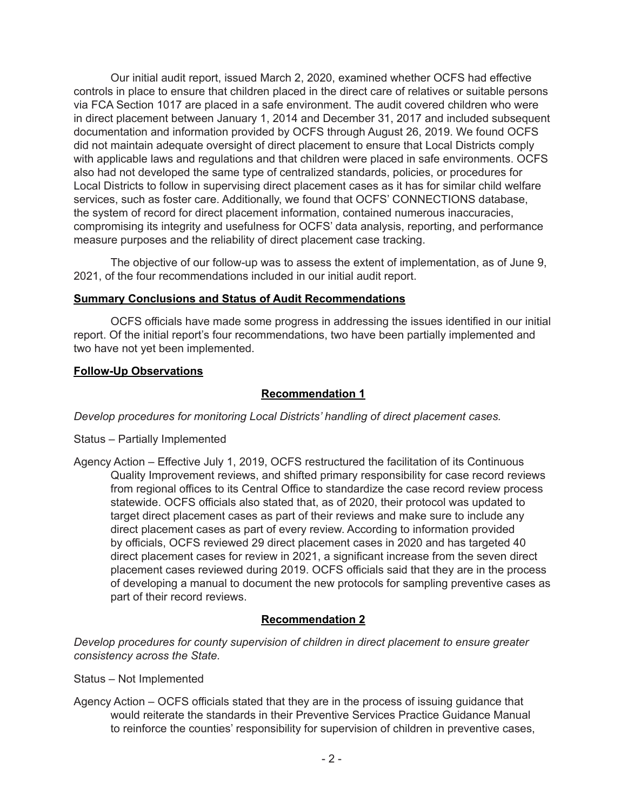Our initial audit report, issued March 2, 2020, examined whether OCFS had effective controls in place to ensure that children placed in the direct care of relatives or suitable persons via FCA Section 1017 are placed in a safe environment. The audit covered children who were in direct placement between January 1, 2014 and December 31, 2017 and included subsequent documentation and information provided by OCFS through August 26, 2019. We found OCFS did not maintain adequate oversight of direct placement to ensure that Local Districts comply with applicable laws and regulations and that children were placed in safe environments. OCFS also had not developed the same type of centralized standards, policies, or procedures for Local Districts to follow in supervising direct placement cases as it has for similar child welfare services, such as foster care. Additionally, we found that OCFS' CONNECTIONS database, the system of record for direct placement information, contained numerous inaccuracies, compromising its integrity and usefulness for OCFS' data analysis, reporting, and performance measure purposes and the reliability of direct placement case tracking.

The objective of our follow-up was to assess the extent of implementation, as of June 9, 2021, of the four recommendations included in our initial audit report.

#### **Summary Conclusions and Status of Audit Recommendations**

OCFS officials have made some progress in addressing the issues identified in our initial report. Of the initial report's four recommendations, two have been partially implemented and two have not yet been implemented.

#### **Follow-Up Observations**

# **Recommendation 1**

*Develop procedures for monitoring Local Districts' handling of direct placement cases.*

- Status Partially Implemented
- Agency Action Effective July 1, 2019, OCFS restructured the facilitation of its Continuous Quality Improvement reviews, and shifted primary responsibility for case record reviews from regional offices to its Central Office to standardize the case record review process statewide. OCFS officials also stated that, as of 2020, their protocol was updated to target direct placement cases as part of their reviews and make sure to include any direct placement cases as part of every review. According to information provided by officials, OCFS reviewed 29 direct placement cases in 2020 and has targeted 40 direct placement cases for review in 2021, a significant increase from the seven direct placement cases reviewed during 2019. OCFS officials said that they are in the process of developing a manual to document the new protocols for sampling preventive cases as part of their record reviews.

## **Recommendation 2**

*Develop procedures for county supervision of children in direct placement to ensure greater consistency across the State.*

- Status Not Implemented
- Agency Action OCFS officials stated that they are in the process of issuing guidance that would reiterate the standards in their Preventive Services Practice Guidance Manual to reinforce the counties' responsibility for supervision of children in preventive cases,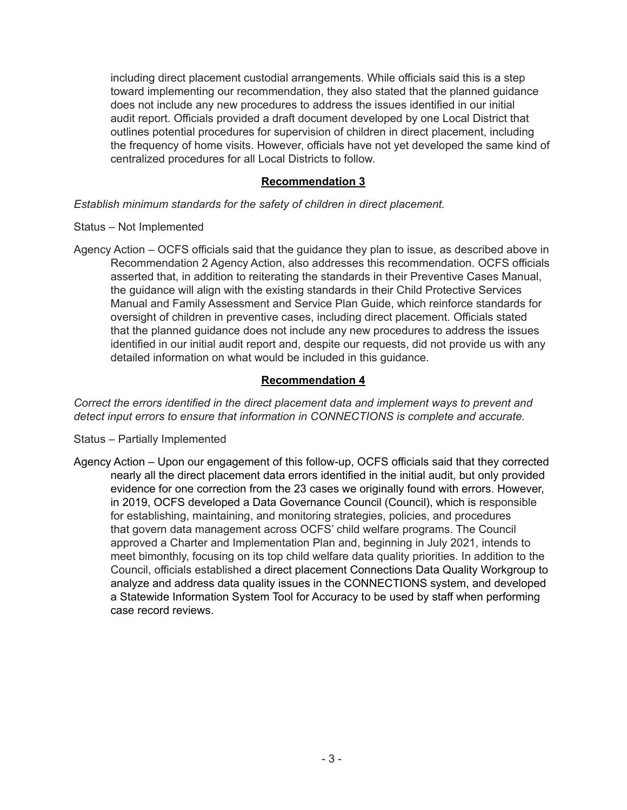including direct placement custodial arrangements. While officials said this is a step toward implementing our recommendation, they also stated that the planned guidance does not include any new procedures to address the issues identified in our initial audit report. Officials provided a draft document developed by one Local District that outlines potential procedures for supervision of children in direct placement, including the frequency of home visits. However, officials have not yet developed the same kind of centralized procedures for all Local Districts to follow.

## **Recommendation 3**

*Establish minimum standards for the safety of children in direct placement.*

## Status – Not Implemented

Agency Action – OCFS officials said that the guidance they plan to issue, as described above in Recommendation 2 Agency Action, also addresses this recommendation. OCFS officials asserted that, in addition to reiterating the standards in their Preventive Cases Manual, the guidance will align with the existing standards in their Child Protective Services Manual and Family Assessment and Service Plan Guide, which reinforce standards for oversight of children in preventive cases, including direct placement. Officials stated that the planned guidance does not include any new procedures to address the issues identified in our initial audit report and, despite our requests, did not provide us with any detailed information on what would be included in this guidance.

## **Recommendation 4**

*Correct the errors identified in the direct placement data and implement ways to prevent and detect input errors to ensure that information in CONNECTIONS is complete and accurate.*

- Status Partially Implemented
- Agency Action Upon our engagement of this follow-up, OCFS officials said that they corrected nearly all the direct placement data errors identified in the initial audit, but only provided evidence for one correction from the 23 cases we originally found with errors. However, in 2019, OCFS developed a Data Governance Council (Council), which is responsible for establishing, maintaining, and monitoring strategies, policies, and procedures that govern data management across OCFS' child welfare programs. The Council approved a Charter and Implementation Plan and, beginning in July 2021, intends to meet bimonthly, focusing on its top child welfare data quality priorities. In addition to the Council, officials established a direct placement Connections Data Quality Workgroup to analyze and address data quality issues in the CONNECTIONS system, and developed a Statewide Information System Tool for Accuracy to be used by staff when performing case record reviews.